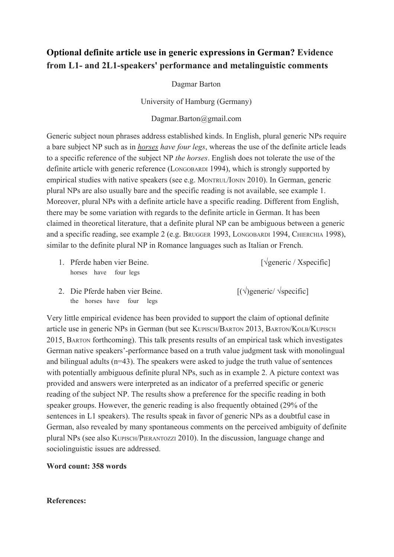## **Optional definite article use in generic expressions in German? Evidence from L1 and 2L1speakers' performance and metalinguistic comments**

Dagmar Barton

University of Hamburg (Germany)

## Dagmar.Barton@gmail.com

Generic subject noun phrases address established kinds. In English, plural generic NPs require a bare subject NP such as in *horses have four legs*, whereas the use of the definite article leads to a specific reference of the subject NP *the horses*. English does not tolerate the use of the definite article with generic reference (LONGOBARDI 1994), which is strongly supported by empirical studies with native speakers (see e.g. MONTRUL/IONIN 2010). In German, generic plural NPs are also usually bare and the specific reading is not available, see example 1. Moreover, plural NPs with a definite article have a specific reading. Different from English, there may be some variation with regards to the definite article in German. It has been claimed in theoretical literature, that a definite plural NP can be ambiguous between a generic and a specific reading, see example 2 (e.g. BRUGGER 1993, LONGOBARDI 1994, CHIERCHIA 1998), similar to the definite plural NP in Romance languages such as Italian or French.

1. Pferde haben vier Beine. [√generic / Xspecific] horses have four legs

2. Die Pferde haben vier Beine.  $[(\sqrt{\text{generic}}/\sqrt{\text{generic}})]$ the horses have four legs

Very little empirical evidence has been provided to support the claim of optional definite article use in generic NPs in German (but see KUPISCH/BARTON 2013, BARTON/KOLB/KUPISCH 2015, BARTON forthcoming). This talk presents results of an empirical task which investigates German native speakers'-performance based on a truth value judgment task with monolingual and bilingual adults (n=43). The speakers were asked to judge the truth value of sentences with potentially ambiguous definite plural NPs, such as in example 2. A picture context was provided and answers were interpreted as an indicator of a preferred specific or generic reading of the subject NP. The results show a preference for the specific reading in both speaker groups. However, the generic reading is also frequently obtained (29% of the sentences in L1 speakers). The results speak in favor of generic NPs as a doubtful case in German, also revealed by many spontaneous comments on the perceived ambiguity of definite plural NPs (see also KUPISCH/PIERANTOZZI 2010). In the discussion, language change and sociolinguistic issues are addressed.

## **Word count: 358 words**

## **References:**